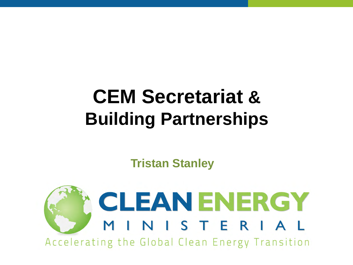# **CEM Secretariat & Building Partnerships**

**Tristan Stanley**

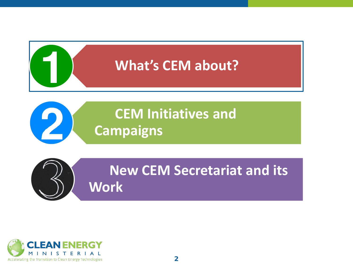

**CEM Initiatives and Campaigns**



2

**New CEM Secretariat and its Work**

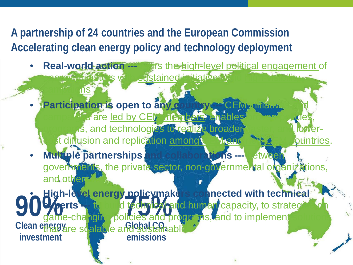**A partnership of 24 countries and the European Commission Accelerating clean energy policy and technology deployment** 

campaigns in the new

- **Real-world action ---** Parts the high-level political engagement of entergy ministers with sustained initiatives and
- **Participation is open to any country --- CEM unitary Care led by CEM members, enables** programs, and technologies to realize broader, and in a lowerat diffusion and replication among CHM and non-CEM countries.
- **Multiple partnerships and collaborations ---** between governments, the private sector, non-governmental organizations, and other

*<u>reday</u>* **Global CO2 emissions 90% Clean energy investment** • **High-level energy policymakers connected with technical experts ---** to build technical and human capacity, to strategize on game-changing policies and programs, and to implement solutions that are scalable and sustainable.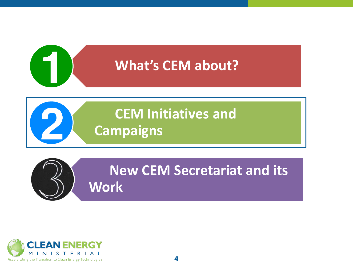

**CEM Initiatives and Campaigns**



**New CEM Secretariat and its Work**

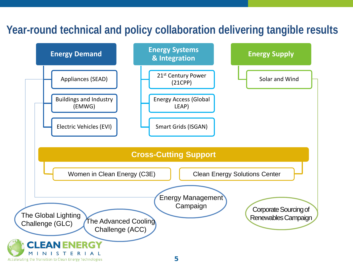#### **Year-round technical and policy collaboration delivering tangible results**

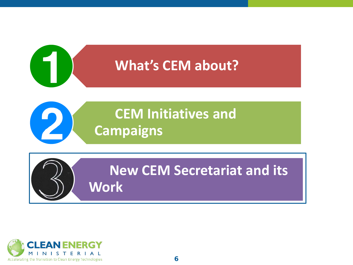

## **CEM Initiatives and Campaigns**

**New CEM Secretariat and its Work**

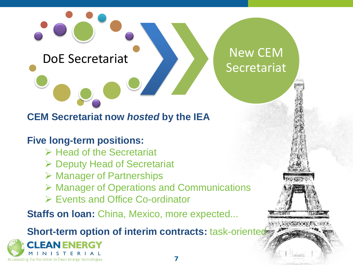DoE Secretariat New CEM

#### **CEM Secretariat now** *hosted* **by the IEA**

**Five long-term positions:**

- $\triangleright$  Head of the Secretariat
- **▶ Deputy Head of Secretariat**
- $\triangleright$  Manager of Partnerships
- Manager of Operations and Communications
- Events and Office Co-ordinator

**Staffs on loan: China, Mexico, more expected...** 

**Short-term option of interim contracts: task-oriented** 



[Secretariat](http://www.google.fr/url?sa=i&rct=j&q=&esrc=s&source=images&cd=&cad=rja&uact=8&ved=0ahUKEwinuebP56jSAhVFuBoKHYlyDbEQjRwIBw&url=http://hk.apple.nextmedia.com/international/art/20120824/16631144&psig=AFQjCNF7hNFc4Ph7E-_4n42j5WPdQ3t5Cw&ust=1488028262393186)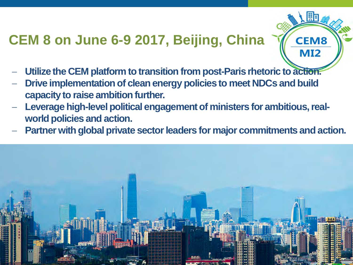### **CEM 8 on June 6-9 2017, Beijing, China**

- Utilize the CEM platform to transition from post-Paris rhetoric to action.
- Drive implementation of clean energy policies to meet NDCs and build **capacity to raise ambition further.**
- Leverage high-level political engagement of ministers for ambitious, real**world policies and action.**
- **Partner with global private sector leaders for major commitments and action.**

**CEM8** 

**MI2** 

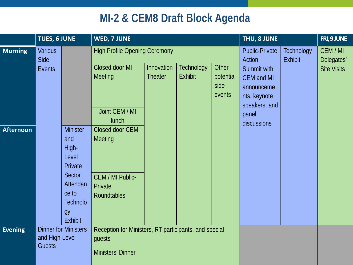#### **MI-2 & CEM8 Draft Block Agenda**

|                                    | TUES, 6 JUNE                     |                                                                                                       | WED, 7 JUNE                                                                                                                       |                              |                                     |                                      | THU, 8 JUNE                                                                                                                                |                                     | FRI, 9 JUNE                                  |
|------------------------------------|----------------------------------|-------------------------------------------------------------------------------------------------------|-----------------------------------------------------------------------------------------------------------------------------------|------------------------------|-------------------------------------|--------------------------------------|--------------------------------------------------------------------------------------------------------------------------------------------|-------------------------------------|----------------------------------------------|
| <b>Morning</b><br><b>Afternoon</b> | <b>Various</b><br>Side<br>Events | <b>Minister</b><br>and<br>High-<br>Level<br>Private                                                   | <b>High Profile Opening Ceremony</b><br>Closed door MI<br>Meeting<br>Joint CEM / MI<br><b>lunch</b><br>Closed door CEM<br>Meeting | Innovation<br><b>Theater</b> | <b>Technology</b><br><b>Exhibit</b> | Other<br>potential<br>side<br>events | <b>Public-Private</b><br>Action<br>Summit with<br><b>CEM</b> and MI<br>announceme<br>nts, keynote<br>speakers, and<br>panel<br>discussions | <b>Technology</b><br><b>Exhibit</b> | CEM / MI<br>Delegates'<br><b>Site Visits</b> |
| <b>Evening</b>                     |                                  | Sector<br>Attendan<br>ce to<br><b>Technolo</b><br>gy<br><b>Exhibit</b><br><b>Dinner for Ministers</b> | CEM / MI Public-<br>Private<br><b>Roundtables</b>                                                                                 |                              |                                     |                                      |                                                                                                                                            |                                     |                                              |
|                                    | and High-Level<br><b>Guests</b>  |                                                                                                       | Reception for Ministers, RT participants, and special<br>guests<br>Ministers' Dinner                                              |                              |                                     |                                      |                                                                                                                                            |                                     |                                              |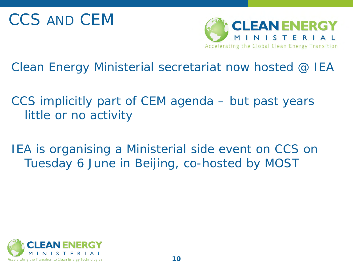

Clean Energy Ministerial secretariat now *hosted* @ IEA

CCS implicitly part of CEM agenda – but past years little or no activity

IEA is organising a Ministerial side event on CCS on Tuesday 6 June in Beijing, co-hosted by MOST

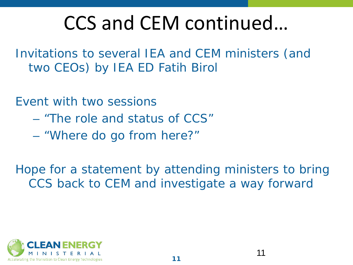# CCS and CEM continued…

Invitations to several IEA and CEM ministers (and two CEOs) by IEA ED Fatih Birol

Event with two sessions

- "The role and status of CCS"
- "Where do go from here?"

Hope for a statement by attending ministers to bring CCS back to CEM and investigate a way forward

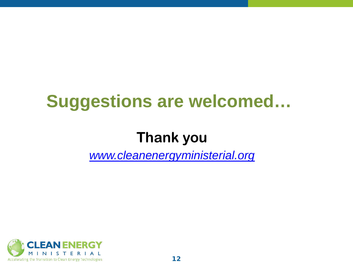## **Suggestions are welcomed…**

### **Thank you**

*[www.cleanenergyministerial.org](http://www.cleanenergyministerial.org/)*